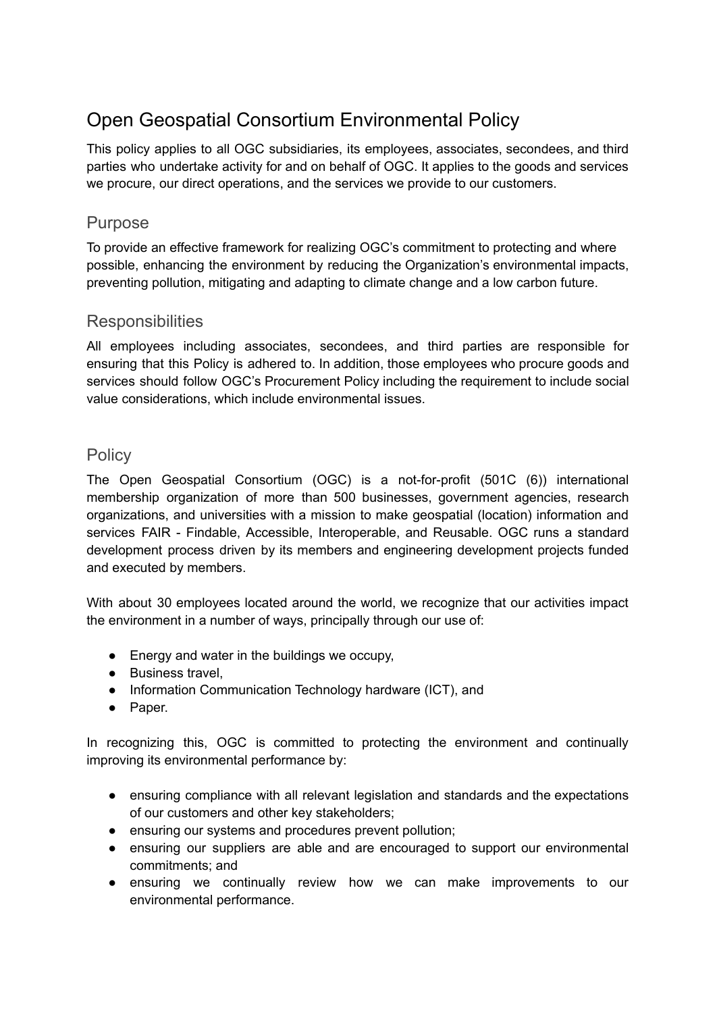# Open Geospatial Consortium Environmental Policy

This policy applies to all OGC subsidiaries, its employees, associates, secondees, and third parties who undertake activity for and on behalf of OGC. It applies to the goods and services we procure, our direct operations, and the services we provide to our customers.

#### Purpose

To provide an effective framework for realizing OGC's commitment to protecting and where possible, enhancing the environment by reducing the Organization's environmental impacts, preventing pollution, mitigating and adapting to climate change and a low carbon future.

## **Responsibilities**

All employees including associates, secondees, and third parties are responsible for ensuring that this Policy is adhered to. In addition, those employees who procure goods and services should follow OGC's Procurement Policy including the requirement to include social value considerations, which include environmental issues.

## **Policy**

The Open Geospatial Consortium (OGC) is a not-for-profit (501C (6)) international membership organization of more than 500 businesses, government agencies, research organizations, and universities with a mission to make geospatial (location) information and services FAIR - Findable, Accessible, Interoperable, and Reusable. OGC runs a standard development process driven by its members and engineering development projects funded and executed by members.

With about 30 employees located around the world, we recognize that our activities impact the environment in a number of ways, principally through our use of:

- Energy and water in the buildings we occupy,
- Business travel.
- Information Communication Technology hardware (ICT), and
- Paper.

In recognizing this, OGC is committed to protecting the environment and continually improving its environmental performance by:

- ensuring compliance with all relevant legislation and standards and the expectations of our customers and other key stakeholders;
- ensuring our systems and procedures prevent pollution;
- ensuring our suppliers are able and are encouraged to support our environmental commitments; and
- ensuring we continually review how we can make improvements to our environmental performance.